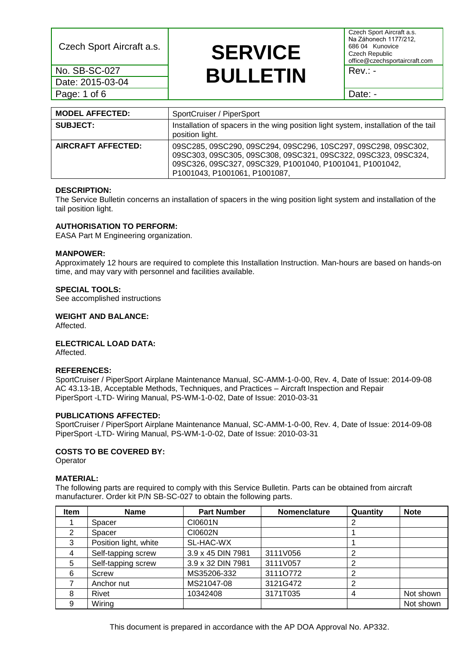Date: 2015-03-04 Page: 1 of 6 Date: -

# Czech Sport Aircraft a.s. **SERVICE No. SB-SC-027 BULLETIN** Rev.: -

Czech Sport Aircraft a.s. Na Záhonech 1177/212, 686 04 Kunovice Czech Republic office@czechsportaircraft.com

| <b>MODEL AFFECTED:</b> | SportCruiser / PiperSport                                                                                                                                                                                                     |
|------------------------|-------------------------------------------------------------------------------------------------------------------------------------------------------------------------------------------------------------------------------|
| <b>SUBJECT:</b>        | Installation of spacers in the wing position light system, installation of the tail<br>position light.                                                                                                                        |
| AIRCRAFT AFFECTED:     | 09SC285, 09SC290, 09SC294, 09SC296, 10SC297, 09SC298, 09SC302,<br>09SC303, 09SC305, 09SC308, 09SC321, 09SC322, 09SC323, 09SC324,<br>09SC326, 09SC327, 09SC329, P1001040, P1001041, P1001042,<br>P1001043, P1001061, P1001087, |

### **DESCRIPTION:**

The Service Bulletin concerns an installation of spacers in the wing position light system and installation of the tail position light.

## **AUTHORISATION TO PERFORM:**

EASA Part M Engineering organization.

### **MANPOWER:**

Approximately 12 hours are required to complete this Installation Instruction. Man-hours are based on hands-on time, and may vary with personnel and facilities available.

### **SPECIAL TOOLS:**

See accomplished instructions

**WEIGHT AND BALANCE:**

Affected.

**ELECTRICAL LOAD DATA:**

Affected.

#### **REFERENCES:**

SportCruiser / PiperSport Airplane Maintenance Manual, SC-AMM-1-0-00, Rev. 4, Date of Issue: 2014-09-08 AC 43.13-1B, Acceptable Methods, Techniques, and Practices – Aircraft Inspection and Repair PiperSport -LTD- Wiring Manual, PS-WM-1-0-02, Date of Issue: 2010-03-31

#### **PUBLICATIONS AFFECTED:**

SportCruiser / PiperSport Airplane Maintenance Manual, SC-AMM-1-0-00, Rev. 4, Date of Issue: 2014-09-08 PiperSport -LTD- Wiring Manual, PS-WM-1-0-02, Date of Issue: 2010-03-31

## **COSTS TO BE COVERED BY:**

Operator

#### **MATERIAL:**

The following parts are required to comply with this Service Bulletin. Parts can be obtained from aircraft manufacturer. Order kit P/N SB-SC-027 to obtain the following parts.

| Item | <b>Name</b>           | <b>Part Number</b> | <b>Nomenclature</b> | Quantity | <b>Note</b> |
|------|-----------------------|--------------------|---------------------|----------|-------------|
|      | Spacer                | CI0601N            |                     | 2        |             |
|      | Spacer                | CI0602N            |                     |          |             |
| 3    | Position light, white | SL-HAC-WX          |                     |          |             |
| 4    | Self-tapping screw    | 3.9 x 45 DIN 7981  | 3111V056            | 2        |             |
| 5    | Self-tapping screw    | 3.9 x 32 DIN 7981  | 3111V057            | 2        |             |
| 6    | Screw                 | MS35206-332        | 31110772            | 2        |             |
|      | Anchor nut            | MS21047-08         | 3121G472            | 2        |             |
| 8    | Rivet                 | 10342408           | 3171T035            | 4        | Not shown   |
| 9    | Wiring                |                    |                     |          | Not shown   |

This document is prepared in accordance with the AP DOA Approval No. AP332.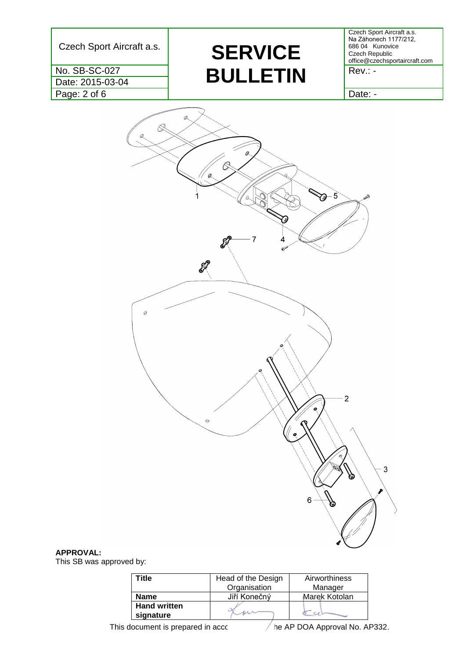Date: 2015-03-04

Czech Sport Aircraft a.s. **SERVICE No. SB-SC-027 BULLETIN** Rev.: -

Czech Sport Aircraft a.s. Na Záhonech 1177/212, 686 04 Kunovice Czech Republic office@czechsportaircraft.com

Page: 2 of 6 Date: -



## **APPROVAL:**

This SB was approved by:

| Title                            | Head of the Design<br>Organisation | Airworthiness<br>Manager |
|----------------------------------|------------------------------------|--------------------------|
| <b>Name</b>                      | Jiří Konečný                       | Marek Kotolan            |
| <b>Hand written</b><br>signature |                                    |                          |

This document is prepared in accordance with the AP DOA Approval No. AP332.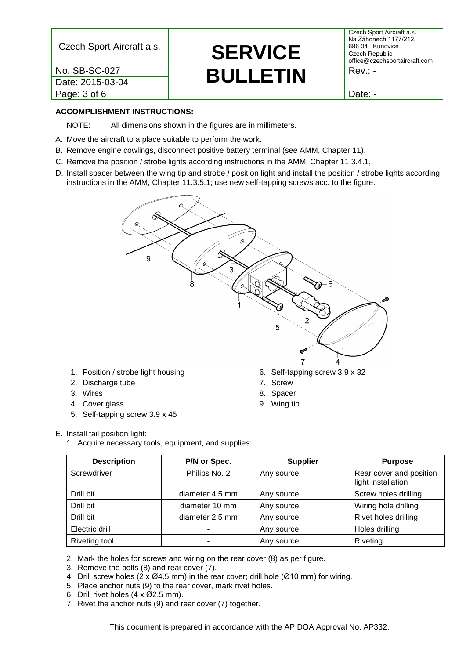Date: 2015-03-04 Page: 3 of 6 and 1 Date: -

# Czech Sport Aircraft a.s. **SERVICE No. SB-SC-027 BULLETIN** Rev.: -

Czech Sport Aircraft a.s. Na Záhonech 1177/212, 686 04 Kunovice Czech Republic office@czechsportaircraft.com

## **ACCOMPLISHMENT INSTRUCTIONS:**

NOTE: All dimensions shown in the figures are in millimeters.

- A. Move the aircraft to a place suitable to perform the work.
- B. Remove engine cowlings, disconnect positive battery terminal (see AMM, Chapter 11).
- C. Remove the position / strobe lights according instructions in the AMM, Chapter 11.3.4.1,
- D. Install spacer between the wing tip and strobe / position light and install the position / strobe lights according instructions in the AMM, Chapter 11.3.5.1; use new self-tapping screws acc. to the figure.



- 1. Position / strobe light housing
- 2. Discharge tube
- 3. Wires
- 4. Cover glass
- 5. Self-tapping screw 3.9 x 45
- 8. Spacer
- 9. Wing tip

## E. Install tail position light:

1. Acquire necessary tools, equipment, and supplies:

| <b>Description</b> | P/N or Spec.    | <b>Supplier</b> | <b>Purpose</b>                                |
|--------------------|-----------------|-----------------|-----------------------------------------------|
| Screwdriver        | Philips No. 2   | Any source      | Rear cover and position<br>light installation |
| Drill bit          | diameter 4.5 mm | Any source      | Screw holes drilling                          |
| Drill bit          | diameter 10 mm  | Any source      | Wiring hole drilling                          |
| Drill bit          | diameter 2.5 mm | Any source      | Rivet holes drilling                          |
| Electric drill     |                 | Any source      | Holes drilling                                |
| Riveting tool      |                 | Any source      | Riveting                                      |

2. Mark the holes for screws and wiring on the rear cover (8) as per figure.

3. Remove the bolts (8) and rear cover (7).

- 4. Drill screw holes (2 x Ø4.5 mm) in the rear cover; drill hole (Ø10 mm) for wiring.
- 5. Place anchor nuts (9) to the rear cover, mark rivet holes.
- 6. Drill rivet holes  $(4 \times \emptyset)2.5$  mm).
- 7. Rivet the anchor nuts (9) and rear cover (7) together.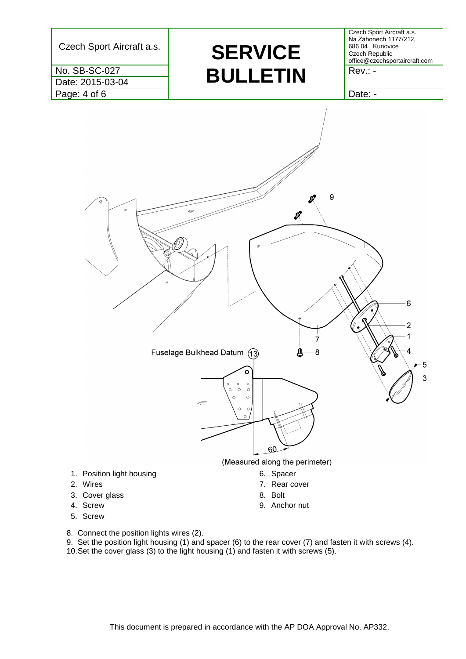

8. Connect the position lights wires (2).

9. Set the position light housing (1) and spacer (6) to the rear cover (7) and fasten it with screws (4). 10.Set the cover glass (3) to the light housing (1) and fasten it with screws (5).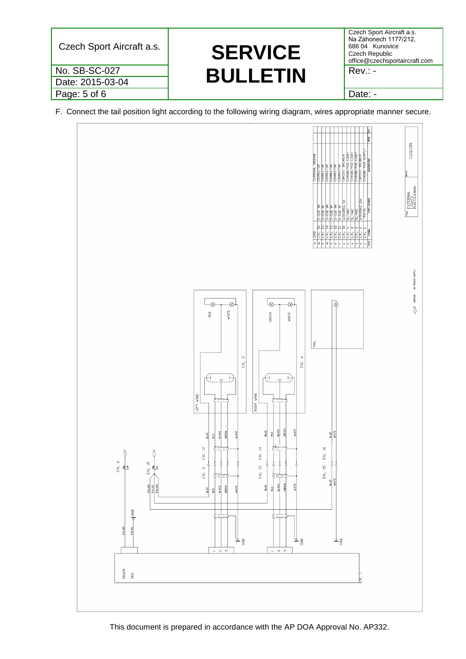| $Rev: -$                | Czech Sport Aircraft a.s. | Czech Sport Aircraft a.s.<br>Na Záhonech 1177/212,<br>686 04 Kunovice<br><b>SERVICE</b><br><b>Czech Republic</b><br>office@czechsportaircraft.com |
|-------------------------|---------------------------|---------------------------------------------------------------------------------------------------------------------------------------------------|
|                         | No. SB-SC-027             | <b>BULLETIN</b>                                                                                                                                   |
| Date: 2015-03-04        |                           |                                                                                                                                                   |
| Page: 5 of 6<br>Date: - |                           |                                                                                                                                                   |

F. Connect the tail position light according to the following wiring diagram, wires appropriate manner secure.